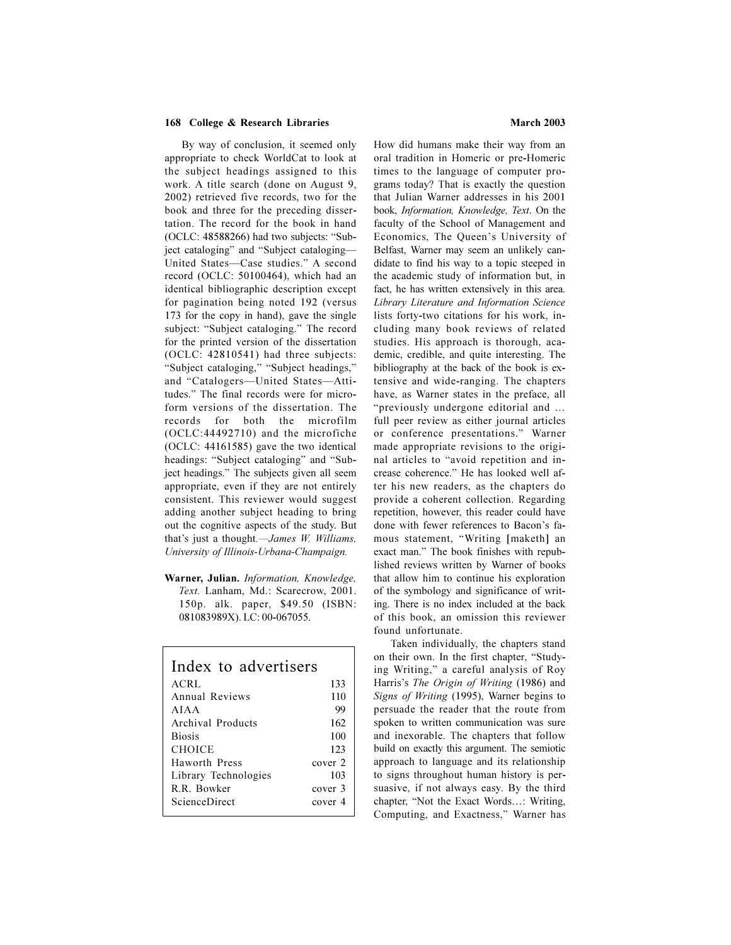## **168 College & Research Libraries March 2003**

 By way of conclusion, it seemed only appropriate to check WorldCat to look at the subject headings assigned to this work. A title search (done on August 9, 2002) retrieved five records, two for the book and three for the preceding dissertation. The record for the book in hand  $(OCLC: 48588266)$  had two subjects: "Subject cataloging" and "Subject cataloging-United States-Case studies." A second record (OCLC: 50100464), which had an identical bibliographic description except for pagination being noted 192 (versus 173 for the copy in hand), gave the single subject: "Subject cataloging." The record for the printed version of the dissertation (OCLC: 42810541) had three subjects: "Subject cataloging," "Subject headings," and "Catalogers-United States-Attitudes." The final records were for microform versions of the dissertation. The records for both the microfilm (OCLC:44492710) and the microfiche (OCLC: 44161585) gave the two identical headings: "Subject cataloging" and "Subject headings." The subjects given all seem appropriate, even if they are not entirely consistent. This reviewer would suggest adding another subject heading to bring out the cognitive aspects of the study. But that's just a thought.—*James W. Williams*, *University of Illinois-Urbana-Champaign.*

**Warner, Julian.** *Information, Knowledge, Text.* Lanham, Md.: Scarecrow, 2001. 150p. alk. paper, \$49.50 (ISBN: 081083989X). LC: 00-067055.

| Index to advertisers |         |
|----------------------|---------|
| ACRL                 | 133     |
| Annual Reviews       | 110     |
| AJA A                | 99      |
| Archival Products    | 162     |
| <b>Biosis</b>        | 100     |
| CHOICE               | 123     |
| Haworth Press        | cover 2 |
| Library Technologies | 103     |
| R.R. Bowker          | cover 3 |
| <b>ScienceDirect</b> | cover 4 |
|                      |         |

How did humans make their way from an oral tradition in Homeric or pre-Homeric times to the language of computer programs today? That is exactly the question that Julian Warner addresses in his 2001 book, *Information, Knowledge, Text*. On the faculty of the School of Management and Economics, The Queen's University of Belfast, Warner may seem an unlikely candidate to find his way to a topic steeped in the academic study of information but, in fact, he has written extensively in this area. *Library Literature and Information Science* lists forty-two citations for his work, including many book reviews of related studies. His approach is thorough, academic, credible, and quite interesting. The bibliography at the back of the book is extensive and wide-ranging. The chapters have, as Warner states in the preface, all "previously undergone editorial and ... full peer review as either journal articles or conference presentations." Warner made appropriate revisions to the original articles to "avoid repetition and increase coherence." He has looked well after his new readers, as the chapters do provide a coherent collection. Regarding repetition, however, this reader could have done with fewer references to Bacon's famous statement, Writing [maketh] an exact man." The book finishes with republished reviews written by Warner of books that allow him to continue his exploration of the symbology and significance of writing. There is no index included at the back of this book, an omission this reviewer found unfortunate.

 Taken individually, the chapters stand on their own. In the first chapter, "Studying Writing," a careful analysis of Roy Harris's *The Origin of Writing* (1986) and *Signs of Writing* (1995), Warner begins to persuade the reader that the route from spoken to written communication was sure and inexorable. The chapters that follow build on exactly this argument. The semiotic approach to language and its relationship to signs throughout human history is persuasive, if not always easy. By the third chapter, "Not the Exact Words...: Writing, Computing, and Exactness," Warner has